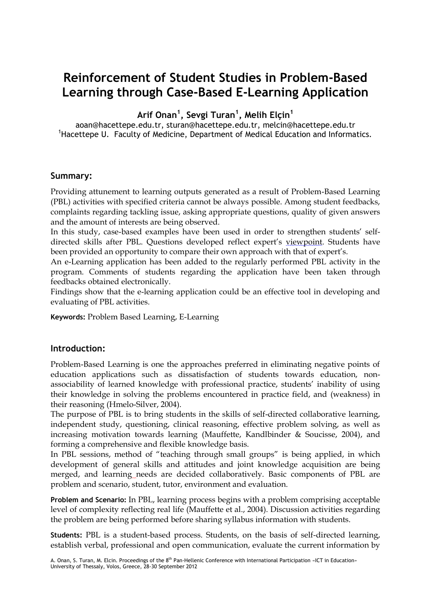# **Reinforcement of Student Studies in Problem-Based Learning through Case-Based E-Learning Application**

**Arif Onan<sup>1</sup> , Sevgi Turan<sup>1</sup> , Melih Elçin<sup>1</sup>**

aoan@hacettepe.edu.tr, sturan@hacettepe.edu.tr, melcin@hacettepe.edu.tr <sup>1</sup>Hacettepe U. Faculty of Medicine, Department of Medical Education and Informatics.

# **Summary:**

Providing attunement to learning outputs generated as a result of Problem-Based Learning (PBL) activities with specified criteria cannot be always possible. Among student feedbacks, complaints regarding tackling issue, asking appropriate questions, quality of given answers and the amount of interests are being observed.

In this study, case-based examples have been used in order to strengthen students' selfdirected skills after PBL. Questions developed reflect expert's viewpoint. Students have been provided an opportunity to compare their own approach with that of expert's.

An e-Learning application has been added to the regularly performed PBL activity in the program. Comments of students regarding the application have been taken through feedbacks obtained electronically.

Findings show that the e-learning application could be an effective tool in developing and evaluating of PBL activities.

**Keywords:** Problem Based Learning, E-Learning

# **Introduction:**

Problem-Based Learning is one the approaches preferred in eliminating negative points of education applications such as dissatisfaction of students towards education, nonassociability of learned knowledge with professional practice, students' inability of using their knowledge in solving the problems encountered in practice field, and (weakness) in their reasoning (Hmelo-Silver, 2004).

The purpose of PBL is to bring students in the skills of self-directed collaborative learning, independent study, questioning, clinical reasoning, effective problem solving, as well as increasing motivation towards learning (Mauffette, Kandlbinder & Soucisse, 2004), and forming a comprehensive and flexible knowledge basis.

In PBL sessions, method of "teaching through small groups" is being applied, in which development of general skills and attitudes and joint knowledge acquisition are being merged, and learning needs are decided collaboratively. Basic components of PBL are problem and scenario, student, tutor, environment and evaluation.

**Problem and Scenario:** In PBL, learning process begins with a problem comprising acceptable level of complexity reflecting real life (Mauffette et al., 2004). Discussion activities regarding the problem are being performed before sharing syllabus information with students.

**Students:** PBL is a student-based process. Students, on the basis of self-directed learning, establish verbal, professional and open communication, evaluate the current information by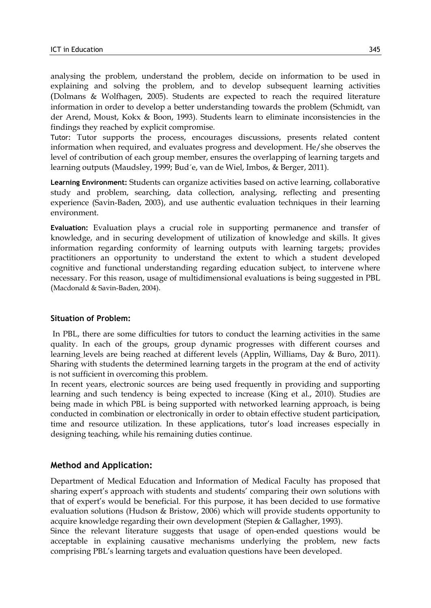analysing the problem, understand the problem, decide on information to be used in explaining and solving the problem, and to develop subsequent learning activities (Dolmans & Wolfhagen, 2005). Students are expected to reach the required literature information in order to develop a better understanding towards the problem (Schmidt, van der Arend, Moust, Kokx & Boon, 1993). Students learn to eliminate inconsistencies in the findings they reached by explicit compromise.

Tutor: Tutor supports the process, encourages discussions, presents related content information when required, and evaluates progress and development. He/she observes the level of contribution of each group member, ensures the overlapping of learning targets and learning outputs (Maudsley, 1999; Bud´e, van de Wiel, Imbos, & Berger, 2011).

**Learning Environment:** Students can organize activities based on active learning, collaborative study and problem, searching, data collection, analysing, reflecting and presenting experience (Savin-Baden, 2003), and use authentic evaluation techniques in their learning environment.

**Evaluation:** Evaluation plays a crucial role in supporting permanence and transfer of knowledge, and in securing development of utilization of knowledge and skills. It gives information regarding conformity of learning outputs with learning targets; provides practitioners an opportunity to understand the extent to which a student developed cognitive and functional understanding regarding education subject, to intervene where necessary. For this reason, usage of multidimensional evaluations is being suggested in PBL (Macdonald & Savin-Baden, 2004).

## **Situation of Problem:**

In PBL, there are some difficulties for tutors to conduct the learning activities in the same quality. In each of the groups, group dynamic progresses with different courses and learning levels are being reached at different levels (Applin, Williams, Day & Buro, 2011). Sharing with students the determined learning targets in the program at the end of activity is not sufficient in overcoming this problem.

In recent years, electronic sources are being used frequently in providing and supporting learning and such tendency is being expected to increase (King et al., 2010). Studies are being made in which PBL is being supported with networked learning approach, is being conducted in combination or electronically in order to obtain effective student participation, time and resource utilization. In these applications, tutor's load increases especially in designing teaching, while his remaining duties continue.

## **Method and Application:**

Department of Medical Education and Information of Medical Faculty has proposed that sharing expert's approach with students and students' comparing their own solutions with that of expert's would be beneficial. For this purpose, it has been decided to use formative evaluation solutions (Hudson & Bristow, 2006) which will provide students opportunity to acquire knowledge regarding their own development (Stepien & Gallagher, 1993).

Since the relevant literature suggests that usage of open-ended questions would be acceptable in explaining causative mechanisms underlying the problem, new facts comprising PBL's learning targets and evaluation questions have been developed.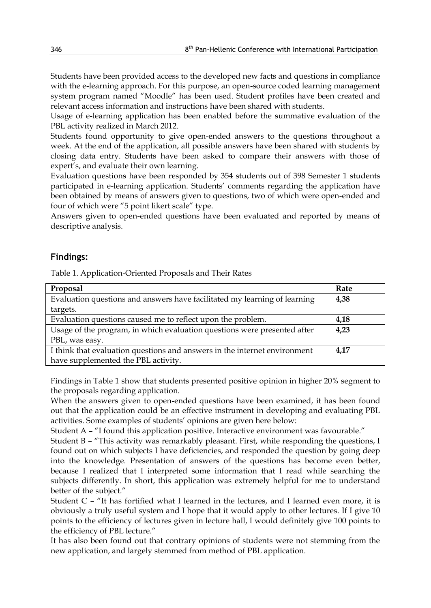Students have been provided access to the developed new facts and questions in compliance with the e-learning approach. For this purpose, an open-source coded learning management system program named "Moodle" has been used. Student profiles have been created and relevant access information and instructions have been shared with students.

Usage of e-learning application has been enabled before the summative evaluation of the PBL activity realized in March 2012.

Students found opportunity to give open-ended answers to the questions throughout a week. At the end of the application, all possible answers have been shared with students by closing data entry. Students have been asked to compare their answers with those of expert's, and evaluate their own learning.

Evaluation questions have been responded by 354 students out of 398 Semester 1 students participated in e-learning application. Students' comments regarding the application have been obtained by means of answers given to questions, two of which were open-ended and four of which were "5 point likert scale" type.

Answers given to open-ended questions have been evaluated and reported by means of descriptive analysis.

# **Findings:**

Table 1. Application-Oriented Proposals and Their Rates

| Proposal                                                                  | Rate |
|---------------------------------------------------------------------------|------|
| Evaluation questions and answers have facilitated my learning of learning | 4,38 |
| targets.                                                                  |      |
| Evaluation questions caused me to reflect upon the problem.               | 4,18 |
| Usage of the program, in which evaluation questions were presented after  | 4,23 |
| PBL, was easy.                                                            |      |
| I think that evaluation questions and answers in the internet environment | 4,17 |
| have supplemented the PBL activity.                                       |      |

Findings in Table 1 show that students presented positive opinion in higher 20% segment to the proposals regarding application.

When the answers given to open-ended questions have been examined, it has been found out that the application could be an effective instrument in developing and evaluating PBL activities. Some examples of students' opinions are given here below:

Student A – "I found this application positive. Interactive environment was favourable."

Student B – "This activity was remarkably pleasant. First, while responding the questions, I found out on which subjects I have deficiencies, and responded the question by going deep into the knowledge. Presentation of answers of the questions has become even better, because I realized that I interpreted some information that I read while searching the subjects differently. In short, this application was extremely helpful for me to understand better of the subject."

Student C – "It has fortified what I learned in the lectures, and I learned even more, it is obviously a truly useful system and I hope that it would apply to other lectures. If I give 10 points to the efficiency of lectures given in lecture hall, I would definitely give 100 points to the efficiency of PBL lecture."

It has also been found out that contrary opinions of students were not stemming from the new application, and largely stemmed from method of PBL application.